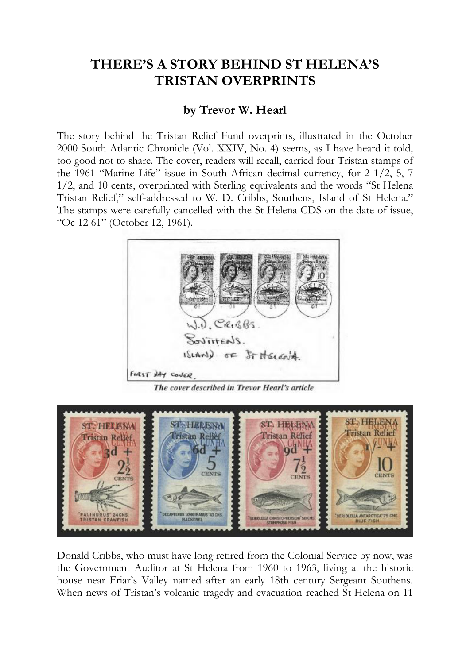## **THERE'S A STORY BEHIND ST HELENA'S TRISTAN OVERPRINTS**

## **by Trevor W. Hearl**

The story behind the Tristan Relief Fund overprints, illustrated in the October 2000 South Atlantic Chronicle (Vol. XXIV, No. 4) seems, as I have heard it told, too good not to share. The cover, readers will recall, carried four Tristan stamps of the 1961 "Marine Life" issue in South African decimal currency, for 2 1/2, 5, 7 1/2, and 10 cents, overprinted with Sterling equivalents and the words "St Helena Tristan Relief," self-addressed to W. D. Cribbs, Southens, Island of St Helena." The stamps were carefully cancelled with the St Helena CDS on the date of issue, "Oc 12 61" (October 12, 1961).



The cover described in Trevor Hearl's article



Donald Cribbs, who must have long retired from the Colonial Service by now, was the Government Auditor at St Helena from 1960 to 1963, living at the historic house near Friar's Valley named after an early 18th century Sergeant Southens. When news of Tristan's volcanic tragedy and evacuation reached St Helena on 11